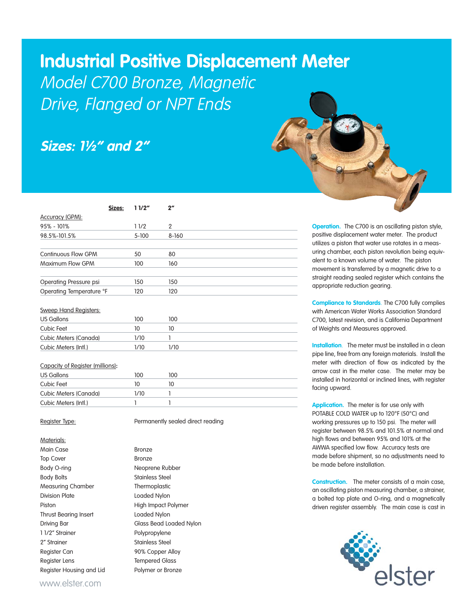## **Industrial Positive Displacement Meter**

Model C700 Bronze, Magnetic Drive, Flanged or NPT Ends

## **Sizes: 1½" and 2"**

| Sizes:                           | 11/2"     | $2^{\prime\prime}$ |
|----------------------------------|-----------|--------------------|
| <b>Accuracy (GPM):</b>           |           |                    |
| $95\% - 101\%$                   | 11/2      | $\overline{2}$     |
| 98.5%-101.5%                     | $5 - 100$ | $8 - 160$          |
|                                  |           |                    |
| <b>Continuous Flow GPM</b>       | 50        | 80                 |
| Maximum Flow GPM                 | 100       | 160                |
|                                  |           |                    |
| Operating Pressure psi           | 150       | 150                |
| Operating Temperature °F         | 120       | 120                |
|                                  |           |                    |
| <b>Sweep Hand Registers:</b>     |           |                    |
| <b>US Gallons</b>                | 100       | 100                |
| <b>Cubic Feet</b>                | 10        | 10                 |
| Cubic Meters (Canada)            | 1/10      | 1                  |
| Cubic Meters (Intl.)             | 1/10      | 1/10               |
|                                  |           |                    |
| Capacity of Register (millions): |           |                    |
| <b>US Gallons</b>                | 100       | 100                |
| Cubic Feet                       | 10        | 10                 |

Cubic Meters (Canada) 1/10 1 Cubic Meters (Intl.) 1 1 1

Register Type: **Permanently sealed direct reading** 

Materials:

Top Cover **Bronze** Body O-ring Neoprene Rubber Body Bolts **Stainless** Steel Measuring Chamber Thermoplastic Division Plate Loaded Nylon Piston **High Impact Polymer** Thrust Bearing Insert **Loaded Nylon** Driving Bar Glass Bead Loaded Nylon 1 1/2" Strainer Polypropylene 2" Strainer Stainless Steel Register Can 90% Copper Alloy Register Lens Tempered Glass Register Housing and Lid Polymer or Bronze

Main Case **Bronze** 

**Operation.** The C700 is an oscillating piston style, positive displacement water meter. The product utilizes a piston that water use rotates in a measuring chamber, each piston revolution being equivalent to a known volume of water. The piston movement is transferred by a magnetic drive to a straight reading sealed register which contains the appropriate reduction gearing.

**Compliance to Standards**. The C700 fully complies with American Water Works Association Standard C700, latest revision, and is California Department of Weights and Measures approved.

**Installation**. The meter must be installed in a clean pipe line, free from any foreign materials. Install the meter with direction of flow as indicated by the arrow cast in the meter case. The meter may be installed in horizontal or inclined lines, with register facing upward.

**Application.** The meter is for use only with POTABLE COLD WATER up to 120°F (50°C) and working pressures up to 150 psi. The meter will register between 98.5% and 101.5% at normal and high flows and between 95% and 101% at the AWWA specified low flow. Accuracy tests are made before shipment, so no adjustments need to be made before installation.

**Construction.** The meter consists of a main case, an oscillating piston measuring chamber, a strainer, a bolted top plate and O-ring, and a magnetically driven register assembly. The main case is cast in



www.elster.com